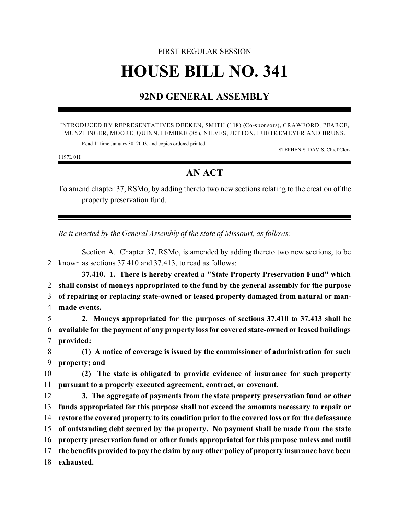# FIRST REGULAR SESSION **HOUSE BILL NO. 341**

## **92ND GENERAL ASSEMBLY**

#### INTRODUCED BY REPRESENTATIVES DEEKEN, SMITH (118) (Co-sponsors), CRAWFORD, PEARCE, MUNZLINGER, MOORE, QUINN, LEMBKE (85), NIEVES, JETTON, LUETKEMEYER AND BRUNS.

Read 1<sup>st</sup> time January 30, 2003, and copies ordered printed.

STEPHEN S. DAVIS, Chief Clerk

1197L.01I

## **AN ACT**

To amend chapter 37, RSMo, by adding thereto two new sections relating to the creation of the property preservation fund.

*Be it enacted by the General Assembly of the state of Missouri, as follows:*

Section A. Chapter 37, RSMo, is amended by adding thereto two new sections, to be 2 known as sections 37.410 and 37.413, to read as follows:

**37.410. 1. There is hereby created a "State Property Preservation Fund" which shall consist of moneys appropriated to the fund by the general assembly for the purpose of repairing or replacing state-owned or leased property damaged from natural or man-made events.**

5 **2. Moneys appropriated for the purposes of sections 37.410 to 37.413 shall be** 6 **available for the payment of any property loss for covered state-owned or leased buildings** 7 **provided:**

8 **(1) A notice of coverage is issued by the commissioner of administration for such** 9 **property; and**

10 **(2) The state is obligated to provide evidence of insurance for such property** 11 **pursuant to a properly executed agreement, contract, or covenant.**

 **3. The aggregate of payments from the state property preservation fund or other funds appropriated for this purpose shall not exceed the amounts necessary to repair or restore the covered property to its condition prior to the covered loss or for the defeasance of outstanding debt secured by the property. No payment shall be made from the state property preservation fund or other funds appropriated for this purpose unless and until the benefits provided to pay the claim by any other policy of property insurance have been exhausted.**